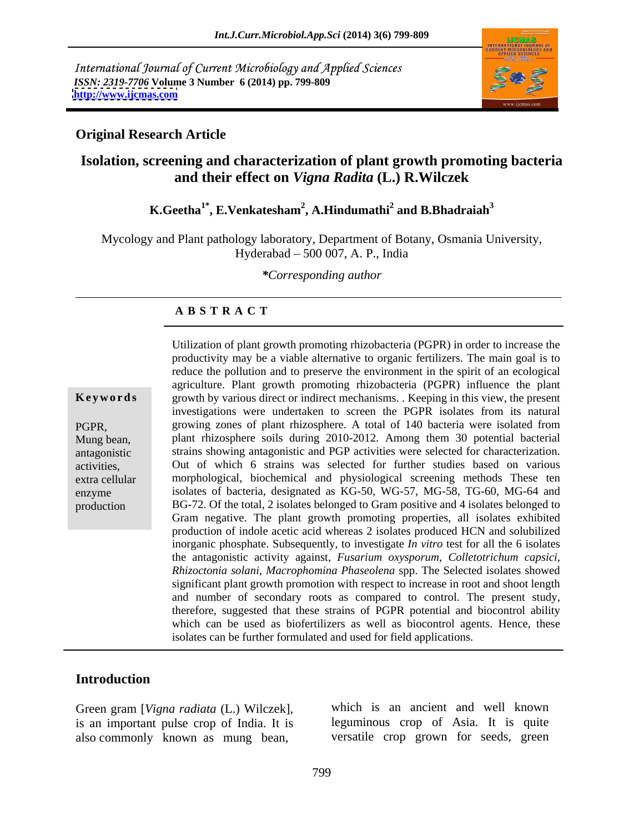International Journal of Current Microbiology and Applied Sciences *ISSN: 2319-7706* **Volume 3 Number 6 (2014) pp. 799-809 <http://www.ijcmas.com>**



#### **Original Research Article**

### **Isolation, screening and characterization of plant growth promoting bacteria and their effect on** *Vigna Radita* **(L.) R.Wilczek**

#### $\mathbf{K}.\mathbf{Geetha}^{1*}, \mathbf{E}.\mathbf{Venkatesham}^2, \mathbf{A}.\mathbf{Hindumathi}^2 \text{ and } \mathbf{B}.\mathbf{Bhadraiah}^3$  **and B.Bhadraiah<sup>3</sup>**

Mycology and Plant pathology laboratory, Department of Botany, Osmania University, Hyderabad 500 007, A. P., India

*\*Corresponding author*

#### **A B S T R A C T**

**Keywords** growth by various direct or indirect mechanisms. . Keeping in this view, the present PGPR, growing zones of plant rhizosphere. A total of 140 bacteria were isolated from Mung bean, plant rhizosphere soils during 2010-2012. Among them 30 potential bacterial antagonistic strains showing antagonistic and PGP activities were selected for characterization. activities, Out of which 6 strains was selected for further studies based on various extra cellular morphological, biochemical and physiological screening methods These ten enzyme isolates of bacteria, designated as KG-50, WG-57, MG-58, TG-60, MG-64 and production BG-72. Of the total, 2 isolates belonged to Gram positive and 4 isolates belonged to Utilization of plant growth promoting rhizobacteria (PGPR) in order to increase the productivity may be a viable alternative to organic fertilizers. The main goal is to reduce the pollution and to preserve the environment in the spirit of an ecological agriculture. Plant growth promoting rhizobacteria (PGPR) influence the plant investigations were undertaken to screen the PGPR isolates from its natural Gram negative. The plant growth promoting properties, all isolates exhibited production of indole acetic acid whereas 2 isolates produced HCN and solubilized inorganic phosphate. Subsequently*,* to investigate *In vitro* test for all the 6 isolates the antagonistic activity against, *Fusarium oxysporum*, *Colletotrichum capsici*, *Rhizoctonia solani*, *Macrophomina Phaseolena* spp. The Selected isolates showed significant plant growth promotion with respect to increase in root and shoot length and number of secondary roots as compared to control. The present study, therefore, suggested that these strains of PGPR potential and biocontrol ability which can be used as biofertilizers as well as biocontrol agents. Hence, these isolates can be further formulated and used for field applications.

#### **Introduction**

Green gram [*Vigna radiata* (L.) Wilczek], also commonly known as mung bean,

is an important pulse crop of India. It is leguminous crop of Asia. It is quite which is an ancient and well known versatile crop grown for seeds, green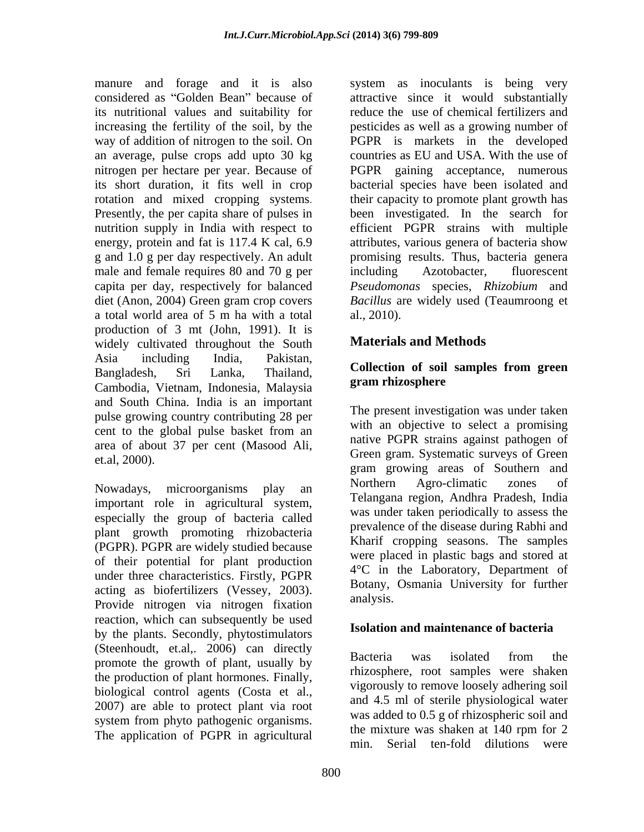its nutritional values and suitability for an average, pulse crops add upto 30 kg Presently, the per capita share of pulses in g and 1.0 g per day respectively. An adult male and female requires 80 and 70 g per including Azotobacter, fluorescent capita per day, respectively for balanced diet (Anon, 2004) Green gram crop covers a total world area of 5 m ha with a total production of 3 mt (John, 1991). It is widely cultivated throughout the South Asia including India, Pakistan, Bangladesh, Sri Lanka, Thailand, Collection of soil samples from green Cambodia, Vietnam, Indonesia, Malaysia and South China. India is an important pulse growing country contributing 28 per cent to the global pulse basket from an area of about 37 per cent (Masood Ali, et.al, 2000).

important role in agricultural system, especially the group of bacteria called plant growth promoting rhizobacteria (PGPR). PGPR are widely studied because of their potential for plant production under three characteristics. Firstly, PGPR acting as biofertilizers (Vessey, 2003). Boundary,<br>Describe alternative site of the continuous function analysis. Provide nitrogen via nitrogen fixation reaction, which can subsequently be used by the plants. Secondly, phytostimulators (Steenhoudt, et.al., 2006) can directly<br>magnetic the create of plant wavelly by Bacteria was isolated from the promote the growth of plant, usually by the production of plant hormones. Finally, biological control agents (Costa et al., 2007) are able to protect plant via root system from phyto pathogenic organisms.<br>The mixture was shaken at 140 rpm for 2 The application of PGPR in agricultural

manure and forage and it is also system as inoculants is being very considered as "Golden Bean" because of attractive since it would substantially increasing the fertility of the soil, by the pesticides as well as a growing number of way of addition of nitrogen to the soil. On PGPR is markets in the developed nitrogen per hectare per year. Because of PGPR gaining acceptance, numerous its short duration, it fits well in crop bacterial species have been isolated and rotation and mixed cropping systems. their capacity to promote plant growth has nutrition supply in India with respect to efficient PGPR strains with multiple energy, protein and fat is 117.4 K cal, 6.9 attributes, various genera of bacteria show reduce the use of chemical fertilizers and countries as EU and USA. With the use of been investigated. In the search for promising results. Thus, bacteria genera including Azotobacter, fluorescent *Pseudomonas* species, *Rhizobium* and *Bacillus* are widely used (Teaumroong et al., 2010).

### **Materials and Methods**

#### **Collection of soil samples from green gram rhizosphere**

Nowadays, microorganisms play an Morthern Agro-climatic zones of The present investigation was under taken with an objective to select a promising native PGPR strains against pathogen of Green gram. Systematic surveys of Green gram growing areas of Southern and Northern Agro-climatic zones of Telangana region, Andhra Pradesh, India was under taken periodically to assess the prevalence of the disease during Rabhi and Kharif cropping seasons. The samples were placed in plastic bags and stored at 4°C in the Laboratory, Department of Botany, Osmania University for further analysis.

### **Isolation and maintenance of bacteria**

Bacteria was isolated from the rhizosphere, root samples were shaken vigorously to remove loosely adhering soil and 4.5 ml of sterile physiological water was added to 0.5 g of rhizospheric soil and the mixture was shaken at 140 rpm for 2 min. Serial ten-fold dilutions were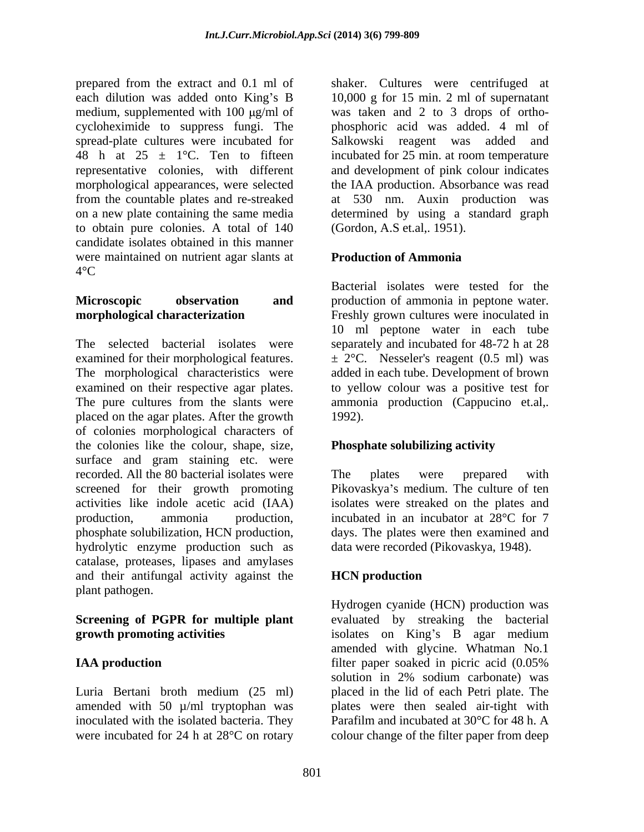prepared from the extract and 0.1 ml of shaker. Cultures were centrifuged at each dilution was added onto King's B 10,000 g for 15 min. 2 ml of supernatant medium, supplemented with  $100 \mu g/ml$  of cycloheximide to suppress fungi. The phosphoric acid was added. 4 ml of spread-plate cultures were incubated for 48 h at  $25 \pm 1$ °C. Ten to fifteen representative colonies, with different and development of pink colour indicates morphological appearances, were selected the IAA production. Absorbance was read from the countable plates and re-streaked at 530 nm. Auxin production was on a new plate containing the same media determined by using a standard graph to obtain pure colonies. A total of 140 candidate isolates obtained in this manner were maintained on nutrient agar slants at **Production of Ammonia**  $4^{\circ}$ C

The selected bacterial isolates were separately and incubated for 48-72 h at 28 examined for their morphological features.  $\pm 2^{\circ}$ C. Nesseler's reagent (0.5 ml) was The morphological characteristics were added in each tube. Development of brown examined on their respective agar plates. The pure cultures from the slants were ammonia production (Cappucino et.al,. placed on the agar plates. After the growth of colonies morphological characters of the colonies like the colour, shape, size, surface and gram staining etc. were recorded. All the 80 bacterial isolates were The plates were prepared with screened for their growth promoting activities like indole acetic acid (IAA) isolates were streaked on the plates and production, ammonia production, incubated in an incubator at 28°C for 7 phosphate solubilization, HCN production, days. The plates were then examined and hydrolytic enzyme production such as catalase, proteases, lipases and amylases and their antifungal activity against the plant pathogen.

## **Screening of PGPR for multiple plant**

were incubated for 24 h at 28<sup>o</sup>C on rotary colour change of the filter paper from deep

was taken and 2 to 3 drops of ortho- Salkowski reagent was added and incubated for 25 min. at room temperature (Gordon, A.S et.al,. 1951).

### **Production of Ammonia**

**Microscopic observation** and production of ammonia in peptone water. **morphological characterization**  Freshly grown cultures were inoculated in Bacterial isolates were tested for the 10 ml peptone water in each tube to yellow colour was a positive test for ammonia production (Cappucino et.al,. 1992).

### **Phosphate solubilizing activity**

The plates were prepared with Pikovaskya's medium. The culture of ten data were recorded (Pikovaskya, 1948).

### **HCN production**

**growth promoting activities** isolates on King's B agar medium **IAA production** filter paper soaked in picric acid (0.05%) Luria Bertani broth medium (25 ml) placed in the lid of each Petri plate. The amended with 50 µ/ml tryptophan was plates were then sealed air-tight with inoculated with the isolated bacteria. They Parafilm and incubated at 30°C for 48 h. A Hydrogen cyanide (HCN) production was evaluated by streaking the bacterial amended with glycine. Whatman No.1 filter paper soaked in picric acid (0.05% solution in 2% sodium carbonate) was placed in the lid of each Petri plate. The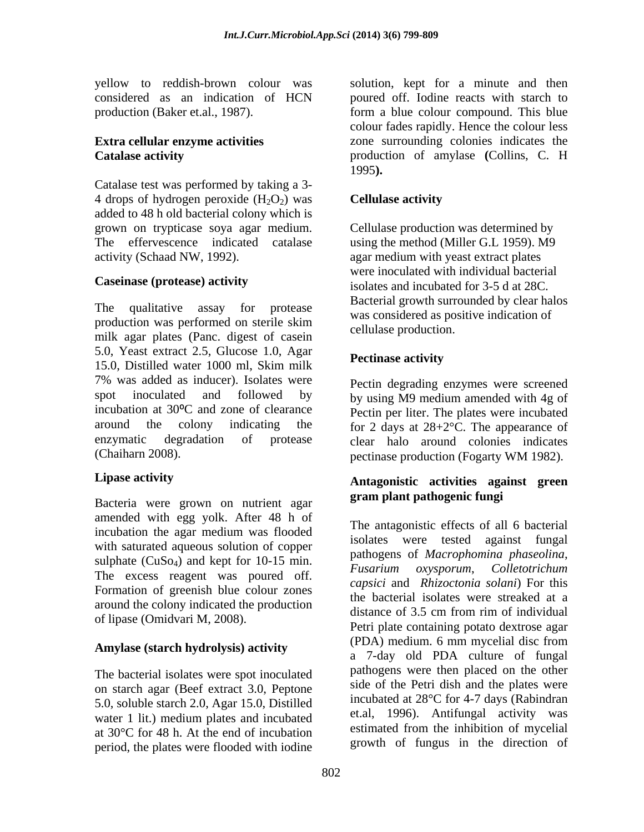Catalase test was performed by taking a 3- 4 drops of hydrogen peroxide  $(H_2O_2)$  was **Cellulase activity** added to 48 h old bacterial colony which is grown on trypticase soya agar medium. The effervescence indicated catalase using the method (Miller G.L 1959). M9

The qualitative assay for protease production was performed on sterile skim milk agar plates (Panc. digest of casein 5.0, Yeast extract 2.5, Glucose 1.0, Agar<br>15.0,  $\sum_{i=1}^{n}$  Pectinase activity 15.0, Distilled water 1000 ml, Skim milk 7% was added as inducer). Isolates were Pectin degrading enzymes were screened spot inoculated and followed by by using M9 medium amended with 4g of incubation at 30<sup>o</sup>C and zone of clearance Pectin per liter. The plates were incubated around the colony indicating the for 2 days at  $28+2^{\circ}$ C. The appearance of enzymatic degradation of protease clear halo around colonies indicates

Bacteria were grown on nutrient agar amended with egg yolk. After 48 h of incubation the agar medium was flooded with saturated aqueous solution of copper sulphate  $(CuSo_4)$  and kept for 10-15 min. The excess reagent was poured off. Formation of greenish blue colour zones around the colony indicated the production of lipase (Omidvari M, 2008).

The bacterial isolates were spot inoculated on starch agar (Beef extract 3.0, Peptone 5.0, soluble starch 2.0, Agar 15.0, Distilled water 1 lit.) medium plates and incubated at 30°C for 48 h. At the end of incubation period, the plates were flooded with iodine

yellow to reddish-brown colour was solution, kept for a minute and then considered as an indication of HCN poured off. Iodine reacts with starch to production (Baker et.al., 1987). form a blue colour compound. This blue **Extra cellular enzyme activities** zone surrounding colonies indicates the **Catalase activity** production of amylase **(**Collins, C. H colour fades rapidly. Hence the colour less 1995**).** 

### **Cellulase activity**

activity (Schaad NW, 1992). agar medium with yeast extract plates **Caseinase (protease) activity** isolates and incubated for 3-5 d at 28C. Cellulase production was determined by were inoculated with individual bacterial Bacterial growth surrounded by clear halos was considered as positive indication of cellulase production.

### **Pectinase activity**

(Chaiharn 2008). pectinase production (Fogarty WM 1982).

### **Lipase activity Antagonistic activities against green gram plant pathogenic fungi**

**Amylase (starch hydrolysis) activity** (PDA) medium. 6 mm mycelial disc from The antagonistic effects of all 6 bacterial isolates were tested against fungal pathogens of *Macrophomina phaseolina*, *Fusarium oxysporum*, *Colletotrichum capsici* and *Rhizoctonia solani*) For this the bacterial isolates were streaked at a distance of 3.5 cm from rim of individual Petri plate containing potato dextrose agar (PDA) medium. 6 mm mycelial disc from a 7-day old PDA culture of fungal pathogens were then placed on the other side of the Petri dish and the plates were incubated at 28°C for 4-7 days (Rabindran et.al, 1996). Antifungal activity was estimated from the inhibition of mycelial growth of fungus in the direction of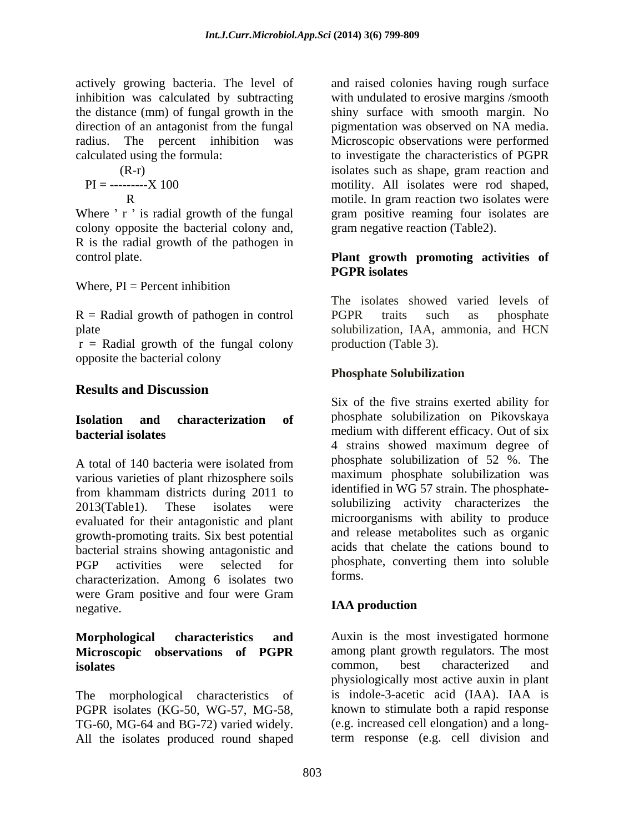the distance (mm) of fungal growth in the

$$
PI = \frac{(R-r)}{R}
$$
100

colony opposite the bacterial colony and, R is the radial growth of the pathogen in

Where, PI = Percent inhibition

R = Radial growth of pathogen in control PGPR traits such as phosphate

 $r =$  Radial growth of the fungal colony opposite the bacterial colony

### **Results and Discussion**

A total of 140 bacteria were isolated from phosphate solubilization of 52 %. The various varieties of plant rhizosphere soils from khammam districts during 2011 to 2013(Table1). These isolates were solubilizing activity characterizes the evaluated for their antagonistic and plant growth-promoting traits. Six best potential bacterial strains showing antagonistic and PGP activities were selected for phosphate, converting them into soluble characterization. Among 6 isolates two forms. were Gram positive and four were Gram<br> **IAA production** negative. The contraction of the contraction of the contraction of the contraction of the contraction of the contraction of the contraction of the contraction of the contraction of the contraction of the contraction of the

# **Microscopic observations of PGPR** among plant growth regulators. The isolates common, best characterized

The morphological characteristics of PGPR isolates (KG-50, WG-57, MG-58, TG-60, MG-64 and BG-72) varied widely. All the isolates produced round shaped

actively growing bacteria. The level of and raised colonies having rough surface inhibition was calculated by subtracting with undulated to erosive margins /smooth direction of an antagonist from the fungal pigmentation was observed on NA media. radius. The percent inhibition was Microscopic observations were performed calculated using the formula: to investigate the characteristics of PGPR (R-r) isolates such as shape, gram reaction and PI = ---------X 100 motility. All isolates were rod shaped, R motile. In gram reaction two isolates were Where ' r is radial growth of the fungal gram positive reaming four isolates are shiny surface with smooth margin. No gram negative reaction (Table2).

#### control plate. **Plant growth promoting activities of PGPR isolates**

plate solubilization, IAA, ammonia, and HCN The isolates showed varied levels of PGPR traits such as phosphate production (Table 3).

### **Phosphate Solubilization**

**Isolation and characterization of bacterial isolates** medium with different efficacy. Out of six Six of the five strains exerted ability for phosphate solubilization on Pikovskaya 4 strains showed maximum degree of phosphate solubilization of 52 %. The maximum phosphate solubilization was identified in WG 57 strain. The phosphate microorganisms with ability to produce and release metabolites such as organic acids that chelate the cations bound to forms.

### **IAA production**

**Morphological characteristics and** Auxin is the most investigated hormone **isolates** common, best characterized and among plant growth regulators. The most common, best characterized and physiologically most active auxin in plant is indole-3-acetic acid (IAA). IAA is known to stimulate both a rapid response (e.g. increased cell elongation) and a longterm response (e.g. cell division and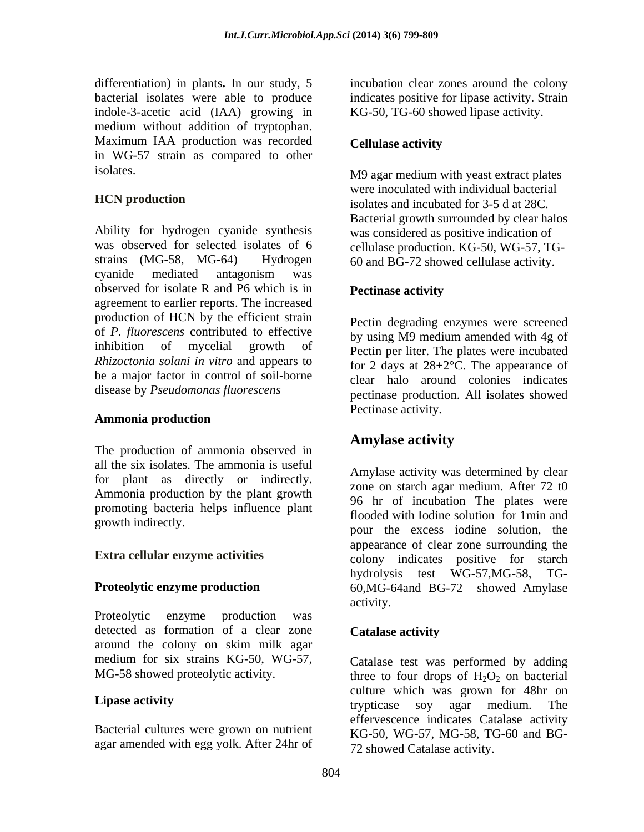differentiation) in plants**.** In our study, 5 incubation clear zones around the colony bacterial isolates were able to produce indicates positive for lipase activity. Strain indole-3-acetic acid (IAA) growing in medium without addition of tryptophan. Maximum IAA production was recorded Cellulase activity in WG-57 strain as compared to other

Ability for hydrogen cyanide synthesis was observed for selected isolates of 6 cellulase production. KG-50, WG-57, TGstrains (MG-58, MG-64) Hydrogen 60 and BG-72 showed cellulase activity. cyanide mediated antagonism was observed for isolate R and P6 which is in Pectinase activity agreement to earlier reports. The increased production of HCN by the efficient strain of *P. fluorescens* contributed to effective inhibition of mycelial growth of Pectin per liter. The plates were incubated *Rhizoctonia solani in vitro* and appears to be a major factor in control of soil-borne

### **Ammonia production**

The production of ammonia observed in **Amylase activity** all the six isolates. The ammonia is useful for plant as directly or indirectly. Ammonia production by the plant growth promoting bacteria helps influence plant

Proteolytic enzyme production was detected as formation of a clear zone **Catalase activity** around the colony on skim milk agar medium for six strains KG-50, WG-57, Catalase test was performed by adding

Bacterial cultures were grown on nutrient agar amended with egg yolk. After 24hr of KG-50, TG-60 showed lipase activity.

### **Cellulase activity**

isolates. M9 agar medium with yeast extract plates **HCN production** isolates and incubated for 3-5 d at 28C. were inoculated with individual bacterial Bacterial growth surrounded by clear halos was considered as positive indication of

### **Pectinase activity**

disease by *Pseudomonas fluorescens* pectinase production. All isolates showed Pectin degrading enzymes were screened by using M9 medium amended with 4g of for 2 days at 28+2°C. The appearance of clear halo around colonies indicates Pectinase activity.

### **Amylase activity**

growth indirectly. pour the excess iodine solution, the **Extra cellular enzyme activities** colony indicates positive for starch **Proteolytic enzyme production** 60,MG-64and BG-72 showed Amylase Amylase activity was determined by clear zone on starch agar medium. After 72 t0 96 hr of incubation The plates were flooded with Iodine solution for 1min and appearance of clear zone surrounding the hydrolysis test WG-57,MG-58, TG activity.

### **Catalase activity**

MG-58 showed proteolytic activity.  $\mu$  three to four drops of  $H_2O_2$  on bacterial **Lipase activity** culture which was grown for 48hr on trypticase soy agar medium. The effervescence indicates Catalase activity KG-50, WG-57, MG-58, TG-60 and BG- 72 showed Catalase activity.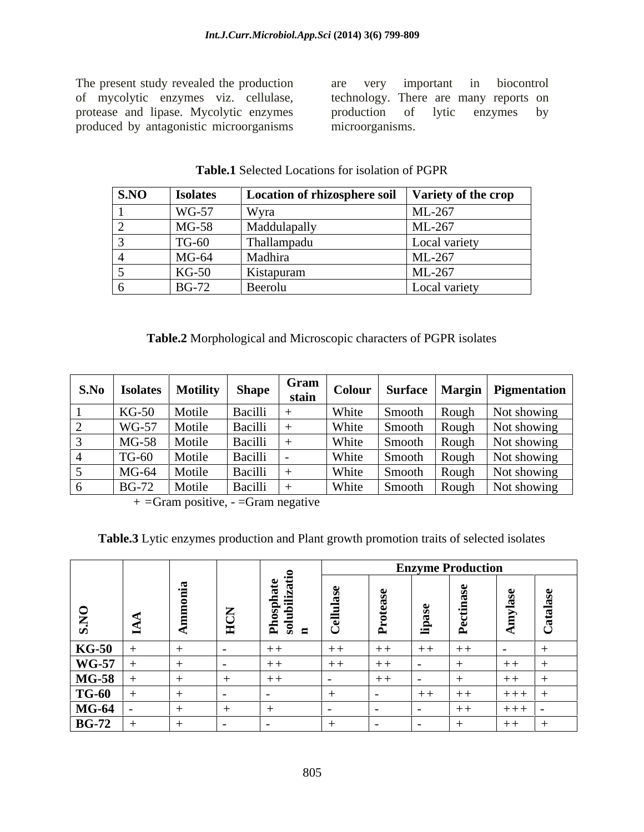The present study revealed the production are very important in biocontrol<br>of mycolytic enzymes viz. cellulase, technology. There are many reports on produced by antagonistic microorganisms

of mycolytic enzymes viz. cellulase, technology. There are many reports on<br>protease and lipase. Mycolytic enzymes by production of lytic enzymes by are very important in biocontrol technology. There are many reports on production of lytic enzymes by microorganisms.

| S.NO | <b>Isolates</b> | Location of rhizosphere soil Variety of the crop |               |
|------|-----------------|--------------------------------------------------|---------------|
|      | <b>WG-57</b>    | Wyra                                             | ML-267        |
|      | MG-58           | Maddulapall                                      | ML-267        |
|      | <b>TG-60</b>    | Thallampadu                                      | Local variety |
|      | $MG-64$         | Madhira                                          | ML-267        |
|      | $KG-50$         | Kistapuram                                       | ML-267        |
|      | <b>BG-72</b>    | Beerolu                                          | Local variety |

**Table.1** Selected Locations for isolation of PGPR

**Table.2** Morphological and Microscopic characters of PGPR isolates

| S.No | <b>Isolates</b> | <b>Motility</b> | <b>Shape</b> | Gram<br>stain | Colour |        |       | Surface   Margin   Pigmentation |
|------|-----------------|-----------------|--------------|---------------|--------|--------|-------|---------------------------------|
|      | $KG-50$         | Motile          | Bacilli      |               | White  | Smooth | Rough | Not showing                     |
|      | <b>WG-57</b>    | Motile          | Bacilli      |               | White  | Smooth | Rough | Not showing                     |
|      | MG-58           | Motile          | Bacilli      |               | White  | Smooth | Rough | Not showing                     |
|      | <b>TG-60</b>    | Motile          | Bacilli      |               | White  | Smooth | Rough | Not showing                     |
|      | $MG-64$         | Motile          | Bacilli      |               | White  | Smooth | Rough | Not showing                     |
|      | <b>BG-72</b>    | Motile          | Bacilli      |               | White  | Smooth | Rough | Not showing                     |

 *+ =*Gram positive, - =Gram negative

**Table.3** Lytic enzymes production and Plant growth promotion traits of selected isolates

|                                                                     |                          |                                                          |                                            | <b>Enzyme Production</b> |               |      |       |             |  |  |  |
|---------------------------------------------------------------------|--------------------------|----------------------------------------------------------|--------------------------------------------|--------------------------|---------------|------|-------|-------------|--|--|--|
| $\mathbf{Q}$<br>$\sqrt{2}$<br>$\boldsymbol{\Omega}$                 | $\overline{\phantom{0}}$ | $\overline{ }$<br>$\sim$<br>$\checkmark$<br><b>First</b> | . ಅ ಕ<br>- 19<br>hosph:<br>Jubiliz<br>— ਕੜ | -                        | $\rightarrow$ | - 23 | - 2   |             |  |  |  |
|                                                                     |                          |                                                          | $++$                                       | $+ +$                    | $+ +$         | $++$ | $+ +$ |             |  |  |  |
|                                                                     |                          |                                                          | $-++$                                      | $+ +$                    | $-+$ $-$      |      |       | - - - -     |  |  |  |
| <b>KG-50<br/> WG-57<br/> MG-58<br/> TG-60<br/> MG-64<br/> BG-72</b> |                          |                                                          | $+ +$                                      |                          | $+ +$         |      |       |             |  |  |  |
|                                                                     |                          |                                                          |                                            |                          |               | $++$ | $+ +$ | $+ + +$ $+$ |  |  |  |
|                                                                     |                          |                                                          |                                            |                          |               |      | $+ +$ | $+ + + + +$ |  |  |  |
|                                                                     |                          |                                                          |                                            |                          |               |      |       |             |  |  |  |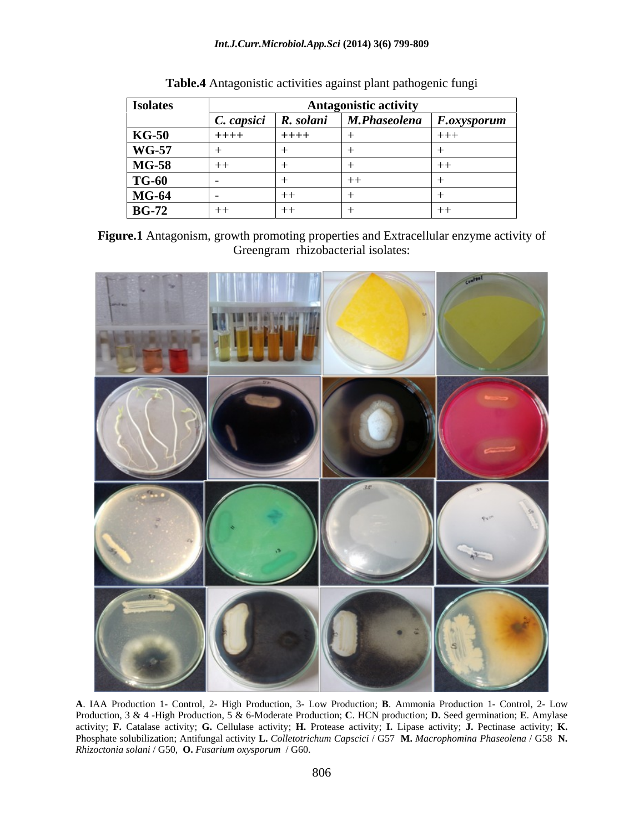#### *Int.J.Curr.Microbiol.App.Sci* **(2014) 3(6) 799-809**

| <b>Isolates</b> | Antagonistic activit |           |  |                                                                                                       |  |  |
|-----------------|----------------------|-----------|--|-------------------------------------------------------------------------------------------------------|--|--|
|                 |                      |           |  | $\sqrt{C}$ . C. $\sqrt{C}$ Capsici $\sqrt{R}$ . Solani $\sqrt{M}$ . Phaseolena $\sqrt{F}$ . Oxysporum |  |  |
| $KG-50$         | $+ + + +$            | $+ + + +$ |  |                                                                                                       |  |  |
| <b>WG-57</b>    |                      |           |  |                                                                                                       |  |  |
| <b>MG-58</b>    |                      |           |  |                                                                                                       |  |  |
| <b>TG-60</b>    |                      |           |  |                                                                                                       |  |  |
| <b>MG-64</b>    |                      |           |  |                                                                                                       |  |  |
| <b>BG-72</b>    | ——                   |           |  |                                                                                                       |  |  |

| $T1$ , $T2$<br>Table<br>s against plant pathogenic<br>activities<br>tungi :<br>2011stic<br>$\mathbf{L}$ |  |  |
|---------------------------------------------------------------------------------------------------------|--|--|
|                                                                                                         |  |  |

**Figure.1** Antagonism, growth promoting properties and Extracellular enzyme activity of Greengram rhizobacterial isolates:



**A**. IAA Production 1- Control, 2- High Production, 3- Low Production; **B**. Ammonia Production 1- Control, 2- Low Production, 3 & 4 -High Production, 5 & 6-Moderate Production; **C**. HCN production; **D.** Seed germination; **E**. Amylase activity; **F.** Catalase activity; **G.** Cellulase activity; **H.** Protease activity; **I.** Lipase activity; **J.** Pectinase activity; **K.**  Phosphate solubilization; Antifungal activity **L.** *Colletotrichum Capscici* / G57 **M.** *Macrophomina Phaseolena* / G58 **N.** *Rhizoctonia solani* / G50, **O.** *Fusarium oxysporum* / G60.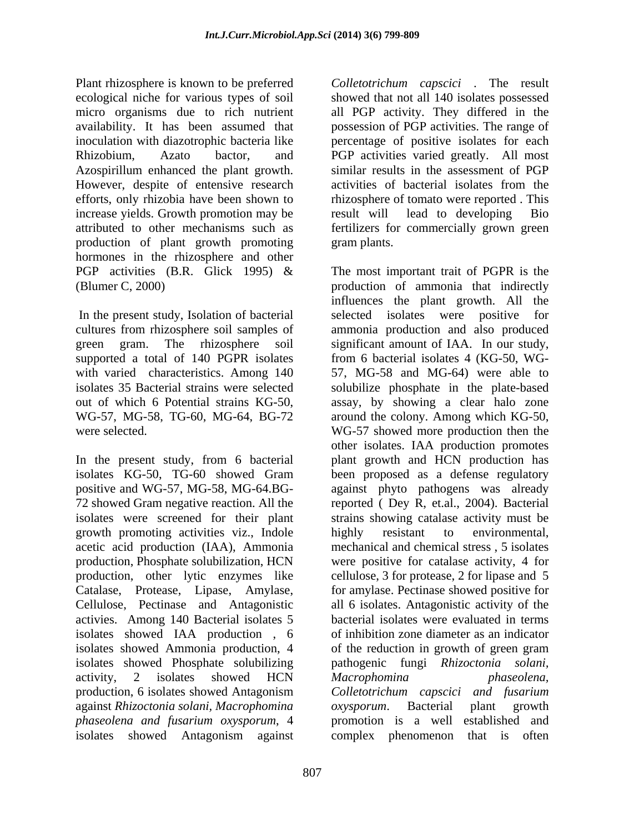Plant rhizosphere is known to be preferred *Colletotrichum capscici* . The result ecological niche for various types of soil showed that not all 140 isolates possessed micro organisms due to rich nutrient all PGP activity. They differed in the availability. It has been assumed that possession of PGP activities. The range of inoculation with diazotrophic bacteria like percentage of positive isolates for each Rhizobium, Azato bactor, and PGP activities varied greatly. All most Azospirillum enhanced the plant growth. However, despite of entensive research activities of bacterial isolates from the efforts, only rhizobia have been shown to rhizosphere of tomato were reported. This increase yields. Growth promotion may be result will lead to developing Bio attributed to other mechanisms such as fertilizers for commercially grown green production of plant growth promoting hormones in the rhizosphere and other PGP activities (B.R. Glick 1995)  $\&$  The most important trait of PGPR is the (Blumer C, 2000) production of ammonia that indirectly

In the present study, Isolation of bacterial selected isolates were positive for supported a total of 140 PGPR isolates from 6 bacterial isolates 4 (KG-50, WG-

In the present study, from 6 bacterial isolates KG-50, TG-60 showed Gram positive and WG-57, MG-58, MG-64.BG- against phyto pathogens was already 72 showed Gram negative reaction. All the reported ( Dey R, et.al., 2004). Bacterial isolates were screened for their plant strains showing catalase activity must be growth promoting activities viz., Indole acetic acid production (IAA), Ammonia production, Phosphate solubilization, HCN were positive for catalase activity, 4 for production, other lytic enzymes like cellulose, 3 for protease, 2 for lipase and 5 Catalase, Protease, Lipase, Amylase, for amylase. Pectinase showed positive for Cellulose, Pectinase and Antagonistic activies. Among 140 Bacterial isolates 5 isolates showed IAA production , 6 isolates showed Ammonia production, 4 of the reduction in growth of green gram isolates showed Phosphate solubilizing pathogenic fungi *Rhizoctonia solani,* activity, 2 isolates showed HCN Macrophomina phaseolena, production, 6 isolates showed Antagonism *Colletotrichum capscici and fusarium* against *Rhizoctonia solani, Macrophomina phaseolena and fusarium oxysporum*, 4 promotion is a well established and isolates showed Antagonism against

similar results in the assessment of PGP activities of bacterial isolates from the result will lead to developing Bio gram plants.

cultures from rhizosphere soil samples of ammonia production and also produced green gram. The rhizosphere soil significant amount of IAA. In our study, with varied characteristics. Among 140 57, MG-58 and MG-64) were able to isolates 35 Bacterial strains were selected solubilize phosphate in the plate-based out of which 6 Potential strains KG-50, assay, by showing a clear halo zone WG-57, MG-58, TG-60, MG-64, BG-72 around the colony. Among which KG-50, were selected. WG-57 showed more production then the influences the plant growth. All the selected isolates were from 6 bacterial isolates 4 (KG-50, WG other isolates. IAA production promotes plant growth and HCN production has been proposed as a defense regulatory highly resistant to environmental, mechanical and chemical stress , 5 isolates all 6 isolates. Antagonistic activity of the bacterial isolates were evaluated in terms of inhibition zone diameter as an indicator of the reduction in growth of green gram *Macrophomina phaseolena, oxysporum*. Bacterial plant growth complex phenomenon that is often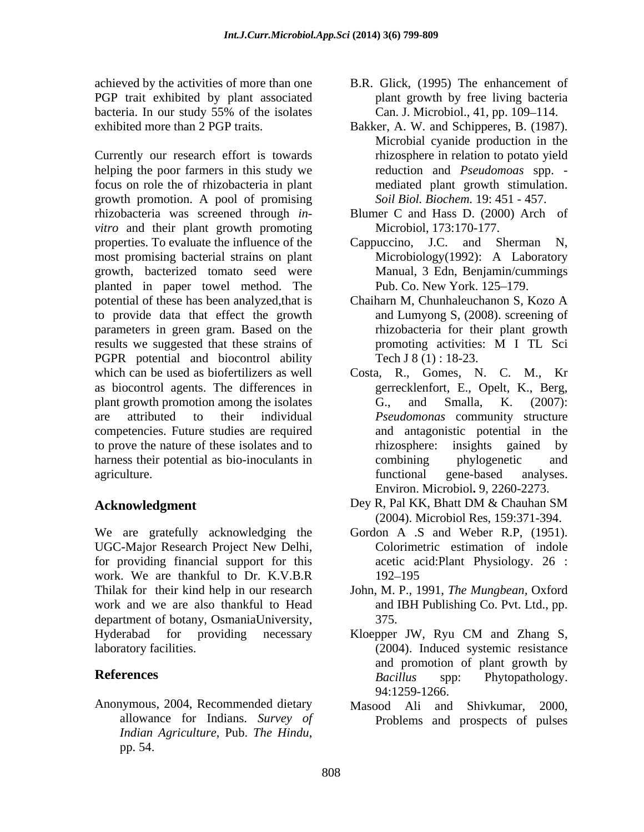PGP trait exhibited by plant associated

Currently our research effort is towards helping the poor farmers in this study we focus on role the of rhizobacteria in plant growth promotion. A pool of promising rhizobacteria was screened through *in vitro* and their plant growth promoting properties. To evaluate the influence of the Cappuccino, J.C. and Sherman N, most promising bacterial strains on plant Microbiology(1992): A Laboratory growth, bacterized tomato seed were planted in paper towel method. The potential of these has been analyzed,that is Chaiharn M, Chunhaleuchanon S, Kozo A to provide data that effect the growth parameters in green gram. Based on the results we suggested that these strains of promoting activities: M I TL Sci PGPR potential and biocontrol ability which can be used as biofertilizers as well Costa, R., Gomes, N. C. M., Kr as biocontrol agents. The differences in plant growth promotion among the isolates G., and Smalla, K. (2007): are attributed to their individual *Pseudomonas* community structure competencies. Future studies are required to prove the nature of these isolates and to rhizosphere: insights gained by harness their potential as bio-inoculants in the combining by phylogenetic and

We are gratefully acknowledging the UGC-Major Research Project New Delhi, for providing financial support for this work. We are thankful to Dr. K.V.B.R work and we are also thankful to Head department of botany, OsmaniaUniversity, 375. Hyderabad for providing necessary Kloepper JW, Ryu CM and Zhang S,

Anonymous, 2004, Recommended dietary Masood Ali and Shivkumar, 2000, allowance for Indians. *Survey of Indian Agriculture*, Pub. *The Hindu*, *pp. 54. Pub. 7 Pub. 7 Pub. 7 Pub. 7 Pub. 7 Pub. 7 Pub. 7 Pub. 7 Pub. 7 Pub. 7 Pub. 7 Pub. 7 Pub. 7 Pub. 7 Pub. 7 Pub. 7 Pub. 7 Pub. 7 Pub. 7 Pub. 7 Pub. 7 Pub. 7 Pub. 7 Pub. 7 Pub* 

- achieved by the activities of more than one B.R. Glick, (1995) The enhancement of bacteria. In our study 55% of the isolates Can. J. Microbiol., 41, pp. 109–114. plant growth by free living bacteria Can. J. Microbiol., 41, pp. 109–114.
- exhibited more than 2 PGP traits. Bakker, A. W. and Schipperes, B. (1987). Microbial cyanide production in the rhizosphere in relation to potato yield reduction and *Pseudomoas* spp. mediated plant growth stimulation. *Soil Biol. Biochem.* 19: 451 - 457.
	- Blumer C and Hass D. (2000) Arch of Microbiol, 173:170-177.
	- Cappuccino, J.C. and Sherman N, Microbiology(1992): A Laboratory Manual, 3 Edn, Benjamin/cummings Pub. Co. New York. 125–179.
	- and Lumyong S, (2008). screening of rhizobacteria for their plant growth promoting activities: M I TL Sci Tech J 8 (1) : 18-23.
- agriculture. The contraction of the contractional states are expected analyses. gerrecklenfort, E., Opelt, K., Berg, G., and Smalla, K. (2007): and antagonistic potential in the rhizosphere: insights gained by combining phylogenetic and functional gene-based analyses. Environ. Microbiol**.** 9, 2260-2273.
- **Acknowledgment** Dey R, Pal KK, Bhatt DM & Chauhan SM Dey R, Pal KK, Bhatt DM & Chauhan SM (2004). Microbiol Res, 159:371-394.
	- Gordon A .S and Weber R.P, (1951). Colorimetric estimation of indole acetic acid:Plant Physiology. 26 : 192–195
- Thilak for their kind help in our research John, M. P., 1991,*The Mungbean,* Oxford and IBH Publishing Co. Pvt. Ltd., pp. 375.
- laboratory facilities. (2004). Induced systemic resistance **References** Bacillus spp: Phytopathology. Kloepper JW, Ryu CM and Zhang S, and promotion of plant growth by *Bacillus* spp: Phytopathology. 94:1259-1266.
	- Masood Ali and Shivkumar, Problems and prospects of pulses